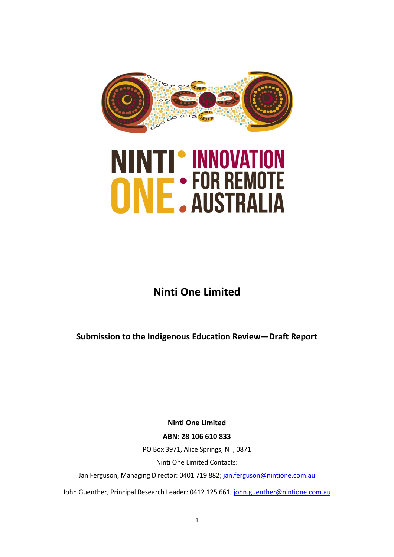

# **NINTI' INNOVATION<br>ONE: FOR REMOTE**

# **Ninti One Limited**

**Submission to the Indigenous Education Review—Draft Report** 

**Ninti One Limited**

**ABN: 28 106 610 833**

PO Box 3971, Alice Springs, NT, 0871

Ninti One Limited Contacts:

Jan Ferguson, Managing Director: 0401 719 882; [jan.ferguson@nintione.com.au](mailto:jan.ferguson@nintione.com.au)

John Guenther, Principal Research Leader: 0412 125 661; [john.guenther@nintione.com.au](mailto:john.guenther@nintione.com.au)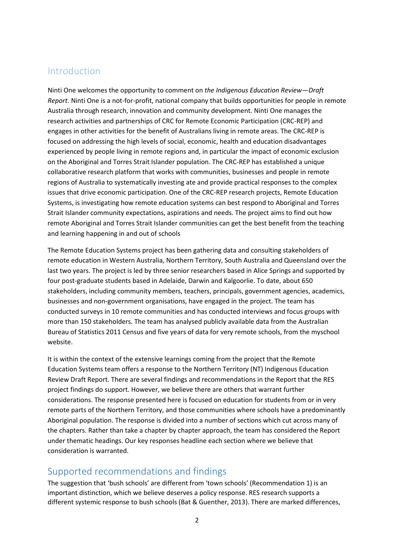# Introduction

Ninti One welcomes the opportunity to comment on *the Indigenous Education Review—Draft Report*. Ninti One is a not-for-profit, national company that builds opportunities for people in remote Australia through research, innovation and community development. Ninti One manages the research activities and partnerships of CRC for Remote Economic Participation (CRC-REP) and engages in other activities for the benefit of Australians living in remote areas. The CRC-REP is focused on addressing the high levels of social, economic, health and education disadvantages experienced by people living in remote regions and, in particular the impact of economic exclusion on the Aboriginal and Torres Strait Islander population. The CRC-REP has established a unique collaborative research platform that works with communities, businesses and people in remote regions of Australia to systematically investing ate and provide practical responses to the complex issues that drive economic participation. One of the CRC-REP research projects, Remote Education Systems, is investigating how remote education systems can best respond to Aboriginal and Torres Strait Islander community expectations, aspirations and needs. The project aims to find out how remote Aboriginal and Torres Strait Islander communities can get the best benefit from the teaching and learning happening in and out of schools

The Remote Education Systems project has been gathering data and consulting stakeholders of remote education in Western Australia, Northern Territory, South Australia and Queensland over the last two years. The project is led by three senior researchers based in Alice Springs and supported by four post-graduate students based in Adelaide, Darwin and Kalgoorlie. To date, about 650 stakeholders, including community members, teachers, principals, government agencies, academics, businesses and non-government organisations, have engaged in the project. The team has conducted surveys in 10 remote communities and has conducted interviews and focus groups with more than 150 stakeholders. The team has analysed publicly available data from the Australian Bureau of Statistics 2011 Census and five years of data for very remote schools, from the myschool website.

It is within the context of the extensive learnings coming from the project that the Remote Education Systems team offers a response to the Northern Territory (NT) Indigenous Education Review Draft Report. There are several findings and recommendations in the Report that the RES project findings do support. However, we believe there are others that warrant further considerations. The response presented here is focused on education for students from or in very remote parts of the Northern Territory, and those communities where schools have a predominantly Aboriginal population. The response is divided into a number of sections which cut across many of the chapters. Rather than take a chapter by chapter approach, the team has considered the Report under thematic headings. Our key responses headline each section where we believe that consideration is warranted.

# Supported recommendations and findings

The suggestion that 'bush schools' are different from 'town schools' (Recommendation 1) is an important distinction, which we believe deserves a policy response. RES research supports a different systemic response to bush schools [\(Bat & Guenther, 2013\)](#page-12-0). There are marked differences,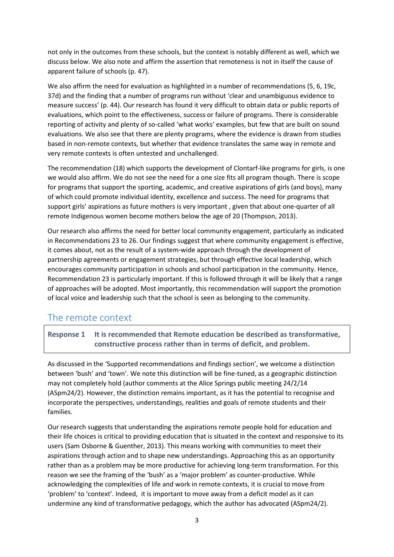not only in the outcomes from these schools, but the context is notably different as well, which we discuss below. We also note and affirm the assertion that remoteness is not in itself the cause of apparent failure of schools (p. 47).

We also affirm the need for evaluation as highlighted in a number of recommendations (5, 6, 19c, 37d) and the finding that a number of programs run without 'clear and unambiguous evidence to measure success' (p. 44). Our research has found it very difficult to obtain data or public reports of evaluations, which point to the effectiveness, success or failure of programs. There is considerable reporting of activity and plenty of so-called 'what works' examples, but few that are built on sound evaluations. We also see that there are plenty programs, where the evidence is drawn from studies based in non-remote contexts, but whether that evidence translates the same way in remote and very remote contexts is often untested and unchallenged.

The recommendation (18) which supports the development of Clontarf-like programs for girls, is one we would also affirm. We do not see the need for a one size fits all program though. There is scope for programs that support the sporting, academic, and creative aspirations of girls (and boys), many of which could promote individual identity, excellence and success. The need for programs that support girls' aspirations as future mothers is very important , given that about one-quarter of all remote Indigenous women become mothers below the age of 20 [\(Thompson, 2013\)](#page-13-0).

Our research also affirms the need for better local community engagement, particularly as indicated in Recommendations 23 to 26. Our findings suggest that where community engagement is effective, it comes about, not as the result of a system-wide approach through the development of partnership agreements or engagement strategies, but through effective local leadership, which encourages community participation in schools and school participation in the community. Hence, Recommendation 23 is particularly important. If this is followed through it will be likely that a range of approaches will be adopted. Most importantly, this recommendation will support the promotion of local voice and leadership such that the school is seen as belonging to the community.

## The remote context

**Response 1 It is recommended that Remote education be described as transformative, constructive process rather than in terms of deficit, and problem.**

As discussed in the 'Supported recommendations and findings section', we welcome a distinction between 'bush' and 'town'. We note this distinction will be fine-tuned, as a geographic distinction may not completely hold (author comments at the Alice Springs public meeting 24/2/14 (ASpm24/2). However, the distinction remains important, as it has the potential to recognise and incorporate the perspectives, understandings, realities and goals of remote students and their families.

Our research suggests that understanding the aspirations remote people hold for education and their life choices is critical to providing education that is situated in the context and responsive to its users [\(Sam Osborne & Guenther, 2013\)](#page-12-1). This means working with communities to meet their aspirations through action and to shape new understandings. Approaching this as an opportunity rather than as a problem may be more productive for achieving long-term transformation. For this reason we see the framing of the 'bush' as a 'major problem' as counter-productive. While acknowledging the complexities of life and work in remote contexts, it is crucial to move from 'problem' to 'context'. Indeed, it is important to move away from a deficit model as it can undermine any kind of transformative pedagogy, which the author has advocated (ASpm24/2).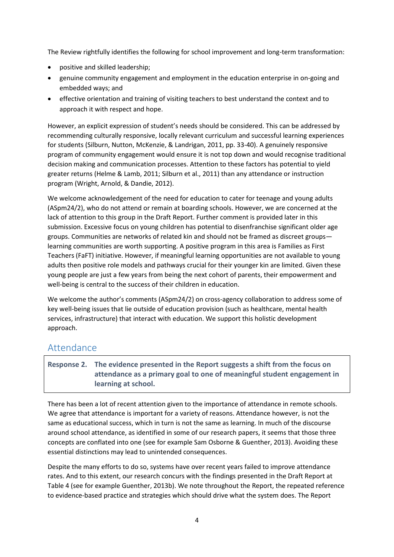The Review rightfully identifies the following for school improvement and long-term transformation:

- positive and skilled leadership;
- genuine community engagement and employment in the education enterprise in on-going and embedded ways; and
- effective orientation and training of visiting teachers to best understand the context and to approach it with respect and hope.

However, an explicit expression of student's needs should be considered. This can be addressed by recommending culturally responsive, locally relevant curriculum and successful learning experiences for students [\(Silburn, Nutton, McKenzie, & Landrigan, 2011, pp. 33-40\)](#page-13-1). A genuinely responsive program of community engagement would ensure it is not top down and would recognise traditional decision making and communication processes. Attention to these factors has potential to yield greater returns [\(Helme & Lamb, 2011;](#page-12-2) [Silburn et al., 2011\)](#page-13-1) than any attendance or instruction program [\(Wright, Arnold, & Dandie, 2012\)](#page-13-2).

We welcome acknowledgement of the need for education to cater for teenage and young adults (ASpm24/2), who do not attend or remain at boarding schools. However, we are concerned at the lack of attention to this group in the Draft Report. Further comment is provided later in this submission. Excessive focus on young children has potential to disenfranchise significant older age groups. Communities are networks of related kin and should not be framed as discreet groups learning communities are worth supporting. A positive program in this area is Families as First Teachers (FaFT) initiative. However, if meaningful learning opportunities are not available to young adults then positive role models and pathways crucial for their younger kin are limited. Given these young people are just a few years from being the next cohort of parents, their empowerment and well-being is central to the success of their children in education.

We welcome the author's comments (ASpm24/2) on cross-agency collaboration to address some of key well-being issues that lie outside of education provision (such as healthcare, mental health services, infrastructure) that interact with education. We support this holistic development approach.

# Attendance

### **Response 2. The evidence presented in the Report suggests a shift from the focus on attendance as a primary goal to one of meaningful student engagement in learning at school.**

There has been a lot of recent attention given to the importance of attendance in remote schools. We agree that attendance is important for a variety of reasons. Attendance however, is not the same as educational success, which in turn is not the same as learning. In much of the discourse around school attendance, as identified in some of our research papers, it seems that those three concepts are conflated into one [\(see for example Sam Osborne & Guenther, 2013\)](#page-12-1). Avoiding these essential distinctions may lead to unintended consequences.

Despite the many efforts to do so, systems have over recent years failed to improve attendance rates. And to this extent, our research concurs with the findings presented in the Draft Report at Table 4 [\(see for example Guenther, 2013b\)](#page-12-3). We note throughout the Report, the repeated reference to evidence-based practice and strategies which should drive what the system does. The Report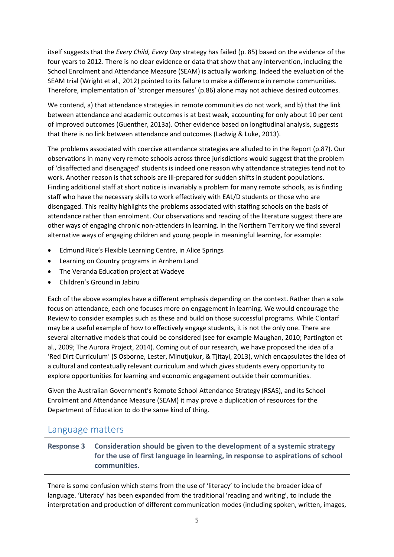itself suggests that the *Every Child, Every Day* strategy has failed (p. 85) based on the evidence of the four years to 2012. There is no clear evidence or data that show that any intervention, including the School Enrolment and Attendance Measure (SEAM) is actually working. Indeed the evaluation of the SEAM trial [\(Wright et al., 2012\)](#page-13-2) pointed to its failure to make a difference in remote communities. Therefore, implementation of 'stronger measures' (p.86) alone may not achieve desired outcomes.

We contend, a) that attendance strategies in remote communities do not work, and b) that the link between attendance and academic outcomes is at best weak, accounting for only about 10 per cent of improved outcomes [\(Guenther, 2013a\)](#page-12-4). Other evidence based on longitudinal analysis, suggests that there is no link between attendance and outcomes [\(Ladwig & Luke, 2013\)](#page-12-5).

The problems associated with coercive attendance strategies are alluded to in the Report (p.87). Our observations in many very remote schools across three jurisdictions would suggest that the problem of 'disaffected and disengaged' students is indeed one reason why attendance strategies tend not to work. Another reason is that schools are ill-prepared for sudden shifts in student populations. Finding additional staff at short notice is invariably a problem for many remote schools, as is finding staff who have the necessary skills to work effectively with EAL/D students or those who are disengaged. This reality highlights the problems associated with staffing schools on the basis of attendance rather than enrolment. Our observations and reading of the literature suggest there are other ways of engaging chronic non-attenders in learning. In the Northern Territory we find several alternative ways of engaging children and young people in meaningful learning, for example:

- Edmund Rice's Flexible Learning Centre, in Alice Springs
- Learning on Country programs in Arnhem Land
- The Veranda Education project at Wadeye
- Children's Ground in Jabiru

Each of the above examples have a different emphasis depending on the context. Rather than a sole focus on attendance, each one focuses more on engagement in learning. We would encourage the Review to consider examples such as these and build on those successful programs. While Clontarf may be a useful example of how to effectively engage students, it is not the only one. There are several alternative models that could be considered (see for example [Maughan, 2010;](#page-12-6) [Partington et](#page-13-3)  [al., 2009;](#page-13-3) [The Aurora Project, 2014\)](#page-13-4). Coming out of our research, we have proposed the idea of a 'Red Dirt Curriculum' [\(S Osborne, Lester, Minutjukur, & Tjitayi, 2013\)](#page-12-7), which encapsulates the idea of a cultural and contextually relevant curriculum and which gives students every opportunity to explore opportunities for learning and economic engagement outside their communities.

Given the Australian Government's Remote School Attendance Strategy (RSAS), and its School Enrolment and Attendance Measure (SEAM) it may prove a duplication of resources for the Department of Education to do the same kind of thing.

### Language matters

### **Response 3 Consideration should be given to the development of a systemic strategy for the use of first language in learning, in response to aspirations of school communities.**

There is some confusion which stems from the use of 'literacy' to include the broader idea of language. 'Literacy' has been expanded from the traditional 'reading and writing', to include the interpretation and production of different communication modes (including spoken, written, images,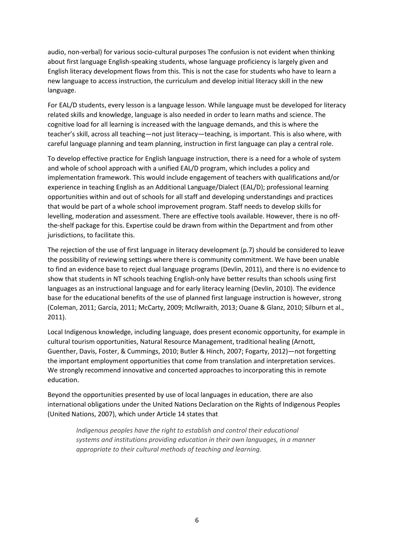audio, non-verbal) for various socio-cultural purposes The confusion is not evident when thinking about first language English-speaking students, whose language proficiency is largely given and English literacy development flows from this. This is not the case for students who have to learn a new language to access instruction, the curriculum and develop initial literacy skill in the new language.

For EAL/D students, every lesson is a language lesson. While language must be developed for literacy related skills and knowledge, language is also needed in order to learn maths and science. The cognitive load for all learning is increased with the language demands, and this is where the teacher's skill, across all teaching—not just literacy—teaching, is important. This is also where, with careful language planning and team planning, instruction in first language can play a central role.

To develop effective practice for English language instruction, there is a need for a whole of system and whole of school approach with a unified EAL/D program, which includes a policy and implementation framework. This would include engagement of teachers with qualifications and/or experience in teaching English as an Additional Language/Dialect (EAL/D); professional learning opportunities within and out of schools for all staff and developing understandings and practices that would be part of a whole school improvement program. Staff needs to develop skills for levelling, moderation and assessment. There are effective tools available. However, there is no offthe-shelf package for this. Expertise could be drawn from within the Department and from other jurisdictions, to facilitate this.

The rejection of the use of first language in literacy development (p.7) should be considered to leave the possibility of reviewing settings where there is community commitment. We have been unable to find an evidence base to reject dual language programs [\(Devlin, 2011\)](#page-12-8), and there is no evidence to show that students in NT schools teaching English-only have better results than schools using first languages as an instructional language and for early literacy learning [\(Devlin, 2010\)](#page-12-9). The evidence base for the educational benefits of the use of planned first language instruction is however, strong [\(Coleman, 2011;](#page-12-10) [García, 2011;](#page-12-11) [McCarty, 2009;](#page-12-12) [McIlwraith, 2013;](#page-12-13) [Ouane & Glanz, 2010;](#page-13-5) [Silburn et al.,](#page-13-1)  [2011\)](#page-13-1).

Local Indigenous knowledge, including language, does present economic opportunity, for example in cultural tourism opportunities, Natural Resource Management, traditional healing [\(Arnott,](#page-11-0)  [Guenther, Davis, Foster, & Cummings, 2010;](#page-11-0) [Butler & Hinch, 2007;](#page-12-14) [Fogarty, 2012\)](#page-12-15)—not forgetting the important employment opportunities that come from translation and interpretation services. We strongly recommend innovative and concerted approaches to incorporating this in remote education.

Beyond the opportunities presented by use of local languages in education, there are also international obligations under the United Nations Declaration on the Rights of Indigenous Peoples [\(United Nations, 2007\)](#page-13-6), which under Article 14 states that

*Indigenous peoples have the right to establish and control their educational systems and institutions providing education in their own languages, in a manner appropriate to their cultural methods of teaching and learning.*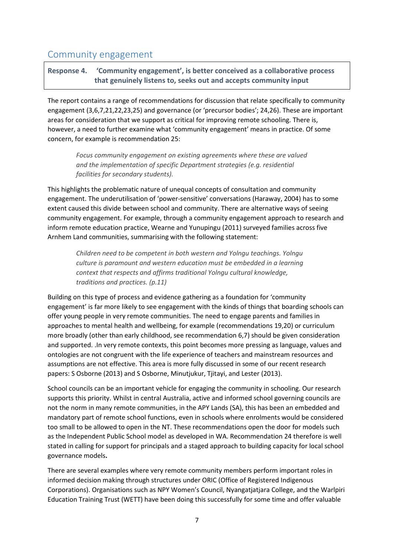# Community engagement

### **Response 4. 'Community engagement', is better conceived as a collaborative process that genuinely listens to, seeks out and accepts community input**

The report contains a range of recommendations for discussion that relate specifically to community engagement (3,6,7,21,22,23,25) and governance (or 'precursor bodies'; 24,26). These are important areas for consideration that we support as critical for improving remote schooling. There is, however, a need to further examine what 'community engagement' means in practice. Of some concern, for example is recommendation 25:

*Focus community engagement on existing agreements where these are valued and the implementation of specific Department strategies (e.g. residential facilities for secondary students).*

This highlights the problematic nature of unequal concepts of consultation and community engagement. The underutilisation of 'power-sensitive' conversations [\(Haraway, 2004\)](#page-12-16) has to some extent caused this divide between school and community. There are alternative ways of seeing community engagement. For example, through a community engagement approach to research and inform remote education practice[, Wearne and Yunupingu \(2011\)](#page-13-7) surveyed families across five Arnhem Land communities, summarising with the following statement:

*Children need to be competent in both western and Yolngu teachings. Yolngu culture is paramount and western education must be embedded in a learning context that respects and affirms traditional Yolngu cultural knowledge, traditions and practices. (p.11)*

Building on this type of process and evidence gathering as a foundation for 'community engagement' is far more likely to see engagement with the kinds of things that boarding schools can offer young people in very remote communities. The need to engage parents and families in approaches to mental health and wellbeing, for example (recommendations 19,20) or curriculum more broadly (other than early childhood, see recommendation 6,7) should be given consideration and supported. .In very remote contexts, this point becomes more pressing as language, values and ontologies are not congruent with the life experience of teachers and mainstream resources and assumptions are not effective. This area is more fully discussed in some of our recent research papers: [S Osborne \(2013\)](#page-12-17) and [S Osborne, Minutjukur, Tjitayi, and Lester \(2013\)](#page-13-8).

School councils can be an important vehicle for engaging the community in schooling. Our research supports this priority. Whilst in central Australia, active and informed school governing councils are not the norm in many remote communities, in the APY Lands (SA), this has been an embedded and mandatory part of remote school functions, even in schools where enrolments would be considered too small to be allowed to open in the NT. These recommendations open the door for models such as the Independent Public School model as developed in WA. Recommendation 24 therefore is well stated in calling for support for principals and a staged approach to building capacity for local school governance models**.** 

There are several examples where very remote community members perform important roles in informed decision making through structures under ORIC (Office of Registered Indigenous Corporations). Organisations such as NPY Women's Council, Nyangatjatjara College, and the Warlpiri Education Training Trust (WETT) have been doing this successfully for some time and offer valuable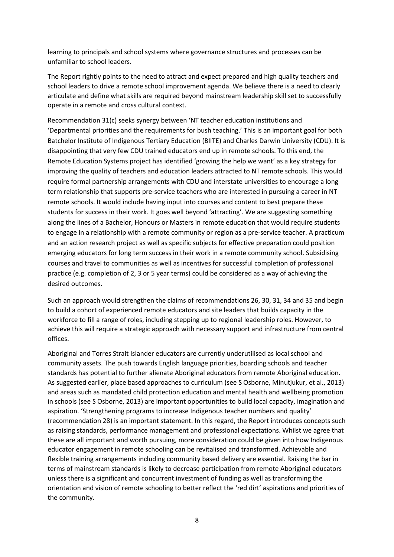learning to principals and school systems where governance structures and processes can be unfamiliar to school leaders.

The Report rightly points to the need to attract and expect prepared and high quality teachers and school leaders to drive a remote school improvement agenda. We believe there is a need to clearly articulate and define what skills are required beyond mainstream leadership skill set to successfully operate in a remote and cross cultural context.

Recommendation 31(c) seeks synergy between 'NT teacher education institutions and 'Departmental priorities and the requirements for bush teaching.' This is an important goal for both Batchelor Institute of Indigenous Tertiary Education (BIITE) and Charles Darwin University (CDU). It is disappointing that very few CDU trained educators end up in remote schools. To this end, the Remote Education Systems project has identified 'growing the help we want' as a key strategy for improving the quality of teachers and education leaders attracted to NT remote schools. This would require formal partnership arrangements with CDU and interstate universities to encourage a long term relationship that supports pre-service teachers who are interested in pursuing a career in NT remote schools. It would include having input into courses and content to best prepare these students for success in their work. It goes well beyond 'attracting'. We are suggesting something along the lines of a Bachelor, Honours or Masters in remote education that would require students to engage in a relationship with a remote community or region as a pre-service teacher. A practicum and an action research project as well as specific subjects for effective preparation could position emerging educators for long term success in their work in a remote community school. Subsidising courses and travel to communities as well as incentives for successful completion of professional practice (e.g. completion of 2, 3 or 5 year terms) could be considered as a way of achieving the desired outcomes.

Such an approach would strengthen the claims of recommendations 26, 30, 31, 34 and 35 and begin to build a cohort of experienced remote educators and site leaders that builds capacity in the workforce to fill a range of roles, including stepping up to regional leadership roles. However, to achieve this will require a strategic approach with necessary support and infrastructure from central offices.

Aboriginal and Torres Strait Islander educators are currently underutilised as local school and community assets. The push towards English language priorities, boarding schools and teacher standards has potential to further alienate Aboriginal educators from remote Aboriginal education. As suggested earlier, place based approaches to curriculum [\(see S Osborne, Minutjukur, et al., 2013\)](#page-13-8) and areas such as mandated child protection education and mental health and wellbeing promotion in schools [\(see S Osborne, 2013\)](#page-12-17) are important opportunities to build local capacity, imagination and aspiration. 'Strengthening programs to increase Indigenous teacher numbers and quality' (recommendation 28) is an important statement. In this regard, the Report introduces concepts such as raising standards, performance management and professional expectations. Whilst we agree that these are all important and worth pursuing, more consideration could be given into how Indigenous educator engagement in remote schooling can be revitalised and transformed. Achievable and flexible training arrangements including community based delivery are essential. Raising the bar in terms of mainstream standards is likely to decrease participation from remote Aboriginal educators unless there is a significant and concurrent investment of funding as well as transforming the orientation and vision of remote schooling to better reflect the 'red dirt' aspirations and priorities of the community.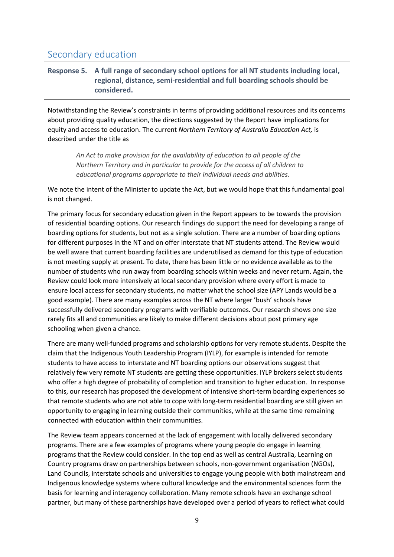# Secondary education

### **Response 5. A full range of secondary school options for all NT students including local, regional, distance, semi-residential and full boarding schools should be considered.**

Notwithstanding the Review's constraints in terms of providing additional resources and its concerns about providing quality education, the directions suggested by the Report have implications for equity and access to education. The current *Northern Territory of Australia Education Act,* is described under the title as

*An Act to make provision for the availability of education to all people of the Northern Territory and in particular to provide for the access of all children to educational programs appropriate to their individual needs and abilities.*

We note the intent of the Minister to update the Act, but we would hope that this fundamental goal is not changed.

The primary focus for secondary education given in the Report appears to be towards the provision of residential boarding options. Our research findings do support the need for developing a range of boarding options for students, but not as a single solution. There are a number of boarding options for different purposes in the NT and on offer interstate that NT students attend. The Review would be well aware that current boarding facilities are underutilised as demand for this type of education is not meeting supply at present. To date, there has been little or no evidence available as to the number of students who run away from boarding schools within weeks and never return. Again, the Review could look more intensively at local secondary provision where every effort is made to ensure local access for secondary students, no matter what the school size (APY Lands would be a good example). There are many examples across the NT where larger 'bush' schools have successfully delivered secondary programs with verifiable outcomes. Our research shows one size rarely fits all and communities are likely to make different decisions about post primary age schooling when given a chance.

There are many well-funded programs and scholarship options for very remote students. Despite the claim that the Indigenous Youth Leadership Program (IYLP), for example is intended for remote students to have access to interstate and NT boarding options our observations suggest that relatively few very remote NT students are getting these opportunities. IYLP brokers select students who offer a high degree of probability of completion and transition to higher education. In response to this, our research has proposed the development of intensive short-term boarding experiences so that remote students who are not able to cope with long-term residential boarding are still given an opportunity to engaging in learning outside their communities, while at the same time remaining connected with education within their communities.

The Review team appears concerned at the lack of engagement with locally delivered secondary programs. There are a few examples of programs where young people do engage in learning programs that the Review could consider. In the top end as well as central Australia, Learning on Country programs draw on partnerships between schools, non-government organisation (NGOs), Land Councils, interstate schools and universities to engage young people with both mainstream and Indigenous knowledge systems where cultural knowledge and the environmental sciences form the basis for learning and interagency collaboration. Many remote schools have an exchange school partner, but many of these partnerships have developed over a period of years to reflect what could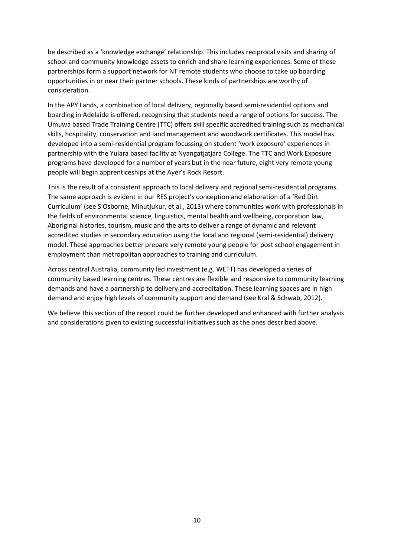be described as a 'knowledge exchange' relationship. This includes reciprocal visits and sharing of school and community knowledge assets to enrich and share learning experiences. Some of these partnerships form a support network for NT remote students who choose to take up boarding opportunities in or near their partner schools. These kinds of partnerships are worthy of consideration.

In the APY Lands, a combination of local delivery, regionally based semi-residential options and boarding in Adelaide is offered, recognising that students need a range of options for success. The Umuwa based Trade Training Centre (TTC) offers skill specific accredited training such as mechanical skills, hospitality, conservation and land management and woodwork certificates. This model has developed into a semi-residential program focussing on student 'work exposure' experiences in partnership with the Yulara based facility at Nyangatjatjara College. The TTC and Work Exposure programs have developed for a number of years but in the near future, eight very remote young people will begin apprenticeships at the Ayer's Rock Resort.

This is the result of a consistent approach to local delivery and regional semi-residential programs. The same approach is evident in our RES project's conception and elaboration of a 'Red Dirt Curriculum' [\(see S Osborne, Minutjukur, et al., 2013\)](#page-13-8) where communities work with professionals in the fields of environmental science, linguistics, mental health and wellbeing, corporation law, Aboriginal histories, tourism, music and the arts to deliver a range of dynamic and relevant accredited studies in secondary education using the local and regional (semi-residential) delivery model. These approaches better prepare very remote young people for post school engagement in employment than metropolitan approaches to training and curriculum.

Across central Australia, community led investment (e.g. WETT) has developed a series of community based learning centres. These centres are flexible and responsive to community learning demands and have a partnership to delivery and accreditation. These learning spaces are in high demand and enjoy high levels of community support and demand [\(see Kral & Schwab, 2012\)](#page-12-18).

We believe this section of the report could be further developed and enhanced with further analysis and considerations given to existing successful initiatives such as the ones described above.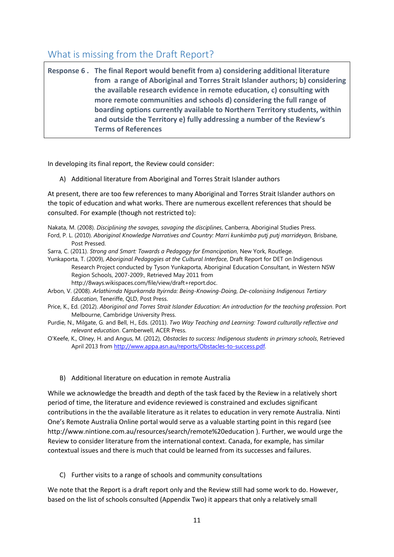# What is missing from the Draft Report?

**Response 6 . The final Report would benefit from a) considering additional literature from a range of Aboriginal and Torres Strait Islander authors; b) considering the available research evidence in remote education, c) consulting with more remote communities and schools d) considering the full range of boarding options currently available to Northern Territory students, within and outside the Territory e) fully addressing a number of the Review's Terms of References**

In developing its final report, the Review could consider:

A) Additional literature from Aboriginal and Torres Strait Islander authors

At present, there are too few references to many Aboriginal and Torres Strait Islander authors on the topic of education and what works. There are numerous excellent references that should be consulted. For example (though not restricted to):

Nakata, M. (2008). *Disciplining the savages, savaging the disciplines*, Canberra, Aboriginal Studies Press.

Ford, P. L. (2010). *Aboriginal Knowledge Narratives and Country: Marri kunkimba putj putj marrideyan*, Brisbane, Post Pressed.

Sarra, C. (2011). *Strong and Smart: Towards a Pedagogy for Emancipation*, New York, Routlege.

Yunkaporta, T. (2009), *Aboriginal Pedagogies at the Cultural Interface*, Draft Report for DET on Indigenous Research Project conducted by Tyson Yunkaporta, Aboriginal Education Consultant, in Western NSW Region Schools, 2007-2009:, Retrieved May 2011 from http://8ways.wikispaces.com/file/view/draft+report.doc.

Arbon, V. (2008). *Arlathirnda Ngurkarnda Ityirnda: Being-Knowing-Doing, De-colonising Indigenous Tertiary Education*, Teneriffe, QLD, Post Press.

- Price, K., Ed. (2012). *Aboriginal and Torres Strait Islander Education: An introduction for the teaching profession*. Port Melbourne, Cambridge University Press.
- Purdie, N., Milgate, G. and Bell, H., Eds. (2011). *Two Way Teaching and Learning: Toward culturally reflective and relevant education*. Camberwell, ACER Press.

O'Keefe, K., Olney, H. and Angus, M. (2012), *Obstacles to success: Indigenous students in primary schools*, Retrieved April 2013 from [http://www.appa.asn.au/reports/Obstacles-to-success.pdf.](http://www.appa.asn.au/reports/Obstacles-to-success.pdf)

### B) Additional literature on education in remote Australia

While we acknowledge the breadth and depth of the task faced by the Review in a relatively short period of time, the literature and evidence reviewed is constrained and excludes significant contributions in the the available literature as it relates to education in very remote Australia. Ninti One's Remote Australia Online portal would serve as a valuable starting point in this regard (see http://www.nintione.com.au/resources/search/remote%20education ). Further, we would urge the Review to consider literature from the international context. Canada, for example, has similar contextual issues and there is much that could be learned from its successes and failures.

C) Further visits to a range of schools and community consultations

We note that the Report is a draft report only and the Review still had some work to do. However, based on the list of schools consulted (Appendix Two) it appears that only a relatively small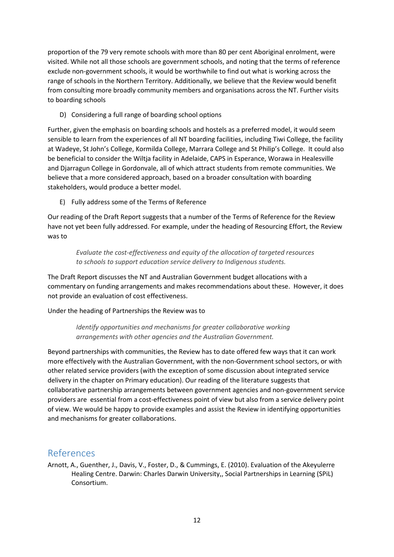proportion of the 79 very remote schools with more than 80 per cent Aboriginal enrolment, were visited. While not all those schools are government schools, and noting that the terms of reference exclude non-government schools, it would be worthwhile to find out what is working across the range of schools in the Northern Territory. Additionally, we believe that the Review would benefit from consulting more broadly community members and organisations across the NT. Further visits to boarding schools

D) Considering a full range of boarding school options

Further, given the emphasis on boarding schools and hostels as a preferred model, it would seem sensible to learn from the experiences of all NT boarding facilities, including Tiwi College, the facility at Wadeye, St John's College, Kormilda College, Marrara College and St Philip's College. It could also be beneficial to consider the Wiltja facility in Adelaide, CAPS in Esperance, Worawa in Healesville and Djarragun College in Gordonvale, all of which attract students from remote communities. We believe that a more considered approach, based on a broader consultation with boarding stakeholders, would produce a better model.

E) Fully address some of the Terms of Reference

Our reading of the Draft Report suggests that a number of the Terms of Reference for the Review have not yet been fully addressed. For example, under the heading of Resourcing Effort, the Review was to

*Evaluate the cost-effectiveness and equity of the allocation of targeted resources to schools to support education service delivery to Indigenous students.* 

The Draft Report discusses the NT and Australian Government budget allocations with a commentary on funding arrangements and makes recommendations about these. However, it does not provide an evaluation of cost effectiveness.

Under the heading of Partnerships the Review was to

*Identify opportunities and mechanisms for greater collaborative working arrangements with other agencies and the Australian Government.* 

Beyond partnerships with communities, the Review has to date offered few ways that it can work more effectively with the Australian Government, with the non-Government school sectors, or with other related service providers (with the exception of some discussion about integrated service delivery in the chapter on Primary education). Our reading of the literature suggests that collaborative partnership arrangements between government agencies and non-government service providers are essential from a cost-effectiveness point of view but also from a service delivery point of view. We would be happy to provide examples and assist the Review in identifying opportunities and mechanisms for greater collaborations.

# References

<span id="page-11-0"></span>Arnott, A., Guenther, J., Davis, V., Foster, D., & Cummings, E. (2010). Evaluation of the Akeyulerre Healing Centre. Darwin: Charles Darwin University,, Social Partnerships in Learning (SPiL) Consortium.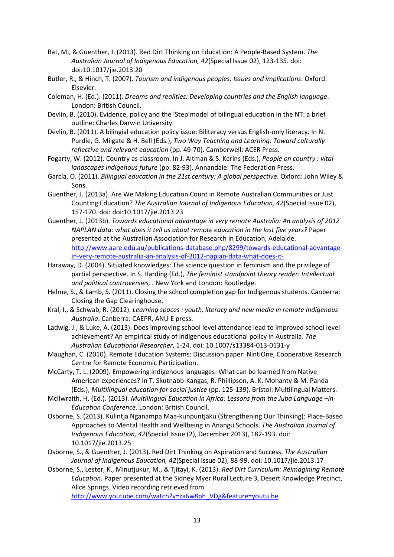- <span id="page-12-0"></span>Bat, M., & Guenther, J. (2013). Red Dirt Thinking on Education: A People-Based System. *The Australian Journal of Indigenous Education, 42*(Special Issue 02), 123-135. doi: doi:10.1017/jie.2013.20
- <span id="page-12-14"></span>Butler, R., & Hinch, T. (2007). *Tourism and indigenous peoples: Issues and implications*. Oxford: Elsevier.
- <span id="page-12-10"></span>Coleman, H. (Ed.). (2011). *Dreams and realities: Developing countries and the English language*. London: British Council.
- <span id="page-12-9"></span>Devlin, B. (2010). Evidence, policy and the 'Step'model of bilingual education in the NT: a brief outline: Charles Darwin University.
- <span id="page-12-8"></span>Devlin, B. (2011). A bilingial education policy issue: Biliteracy versus English-only literacy. In N. Purdie, G. Milgate & H. Bell (Eds.), *Two Way Teaching and Learning: Toward culturally reflective and relevant education* (pp. 49-70). Camberwell: ACER Press.
- <span id="page-12-15"></span>Fogarty, W. (2012). Country as classroom. In J. Altman & S. Kerins (Eds.), *People on country : vital landscapes indigenous future* (pp. 82-93). Annandale: The Federation Press.
- <span id="page-12-11"></span>García, O. (2011). *Bilingual education in the 21st century: A global perspective*. Oxford: John Wiley & Sons.
- <span id="page-12-4"></span>Guenther, J. (2013a). Are We Making Education Count in Remote Australian Communities or Just Counting Education? *The Australian Journal of Indigenous Education, 42*(Special Issue 02), 157-170. doi: doi:10.1017/jie.2013.23
- <span id="page-12-3"></span>Guenther, J. (2013b). *Towards educational advantage in very remote Australia: An analysis of 2012 NAPLAN data: what does it tell us about remote education in the last five years?* Paper presented at the Australian Association for Research in Education, Adelaide. [http://www.aare.edu.au/publications-database.php/8299/towards-educational-advantage](http://www.aare.edu.au/publications-database.php/8299/towards-educational-advantage-in-very-remote-australia-an-analysis-of-2012-naplan-data-what-does-it-)[in-very-remote-australia-an-analysis-of-2012-naplan-data-what-does-it-](http://www.aare.edu.au/publications-database.php/8299/towards-educational-advantage-in-very-remote-australia-an-analysis-of-2012-naplan-data-what-does-it-)
- <span id="page-12-16"></span>Haraway, D. (2004). Situated knowledges: The science question in feminism and the privilege of partial perspective. In S. Harding (Ed.), *The feminist standpoint theory reader: Intellectual and political controversies,* . New York and London: Routledge.
- <span id="page-12-2"></span>Helme, S., & Lamb, S. (2011). Closing the school completion gap for Indigenous students. Canberra: Closing the Gap Clearinghouse.
- <span id="page-12-18"></span>Kral, I., & Schwab, R. (2012). *Learning spaces : youth, literacy and new media in remote Indigenous Australia*. Canberra: CAEPR, ANU E press.
- <span id="page-12-5"></span>Ladwig, J., & Luke, A. (2013). Does improving school level attendance lead to improved school level achievement? An empirical study of indigenous educational policy in Australia. *The Australian Educational Researcher*, 1-24. doi: 10.1007/s13384-013-0131-y
- <span id="page-12-6"></span>Maughan, C. (2010). Remote Education Systems: Discussion paper: NintiOne, Cooperative Research Centre for Remote Economic Participation.
- <span id="page-12-12"></span>McCarty, T. L. (2009). Empowering indigenous languages–What can be learned from Native American experiences? In T. Skutnabb-Kangas, R. Phillipson, A. K. Mohanty & M. Panda (Eds.), *Multilingual education for social justice* (pp. 125-139). Bristol: Multilingual Matters.
- <span id="page-12-13"></span>McIlwraith, H. (Ed.). (2013). *Multilingual Education in Africa: Lessons from the Juba Language –in-Education Conference.* London: British Council.
- <span id="page-12-17"></span>Osborne, S. (2013). Kulintja Nganampa Maa-kunpuntjaku (Strengthening Our Thinking): Place-Based Approaches to Mental Health and Wellbeing in Anangu Schools. *The Australian Journal of Indigenous Education, 42*(Special Issue (2), December 2013), 182-193. doi: 10.1017/jie.2013.25
- <span id="page-12-1"></span>Osborne, S., & Guenther, J. (2013). Red Dirt Thinking on Aspiration and Success. *The Australian Journal of Indigenous Education, 42*(Special Issue 02), 88-99. doi: 10.1017/jie.2013.17
- <span id="page-12-7"></span>Osborne, S., Lester, K., Minutjukur, M., & Tjitayi, K. (2013). *Red Dirt Curriculum: Reimagining Remote Education*. Paper presented at the Sidney Myer Rural Lecture 3, Desert Knowledge Precinct, Alice Springs. Video recording retrieved from